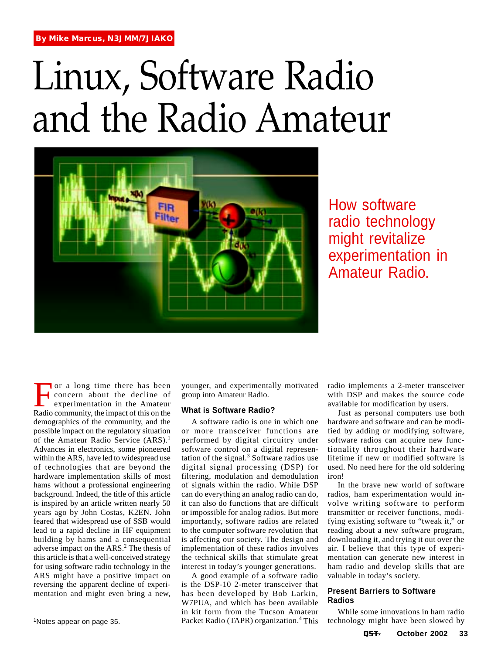# Linux, Software Radio and the Radio Amateur



How software radio technology might revitalize experimentation in Amateur Radio.

For a long time there has been<br>concern about the decline of<br>experimentation in the Amateur<br>Radio community the impact of this on the concern about the decline of experimentation in the Amateur Radio community, the impact of this on the demographics of the community, and the possible impact on the regulatory situation of the Amateur Radio Service (ARS).<sup>1</sup> Advances in electronics, some pioneered within the ARS, have led to widespread use of technologies that are beyond the hardware implementation skills of most hams without a professional engineering background. Indeed, the title of this article is inspired by an article written nearly 50 years ago by John Costas, K2EN. John feared that widespread use of SSB would lead to a rapid decline in HF equipment building by hams and a consequential adverse impact on the ARS.<sup>2</sup> The thesis of this article is that a well-conceived strategy for using software radio technology in the ARS might have a positive impact on reversing the apparent decline of experimentation and might even bring a new,

1Notes appear on page 35.

younger, and experimentally motivated group into Amateur Radio.

# **What is Software Radio?**

A software radio is one in which one or more transceiver functions are performed by digital circuitry under software control on a digital representation of the signal.<sup>3</sup> Software radios use digital signal processing (DSP) for filtering, modulation and demodulation of signals within the radio. While DSP can do everything an analog radio can do, it can also do functions that are difficult or impossible for analog radios. But more importantly, software radios are related to the computer software revolution that is affecting our society. The design and implementation of these radios involves the technical skills that stimulate great interest in today's younger generations.

A good example of a software radio is the DSP-10 2-meter transceiver that has been developed by Bob Larkin, W7PUA, and which has been available in kit form from the Tucson Amateur Packet Radio (TAPR) organization.<sup>4</sup> This

radio implements a 2-meter transceiver with DSP and makes the source code available for modification by users.

Just as personal computers use both hardware and software and can be modified by adding or modifying software, software radios can acquire new functionality throughout their hardware lifetime if new or modified software is used. No need here for the old soldering iron!

In the brave new world of software radios, ham experimentation would involve writing software to perform transmitter or receiver functions, modifying existing software to "tweak it," or reading about a new software program, downloading it, and trying it out over the air. I believe that this type of experimentation can generate new interest in ham radio and develop skills that are valuable in today's society.

# **Present Barriers to Software Radios**

While some innovations in ham radio technology might have been slowed by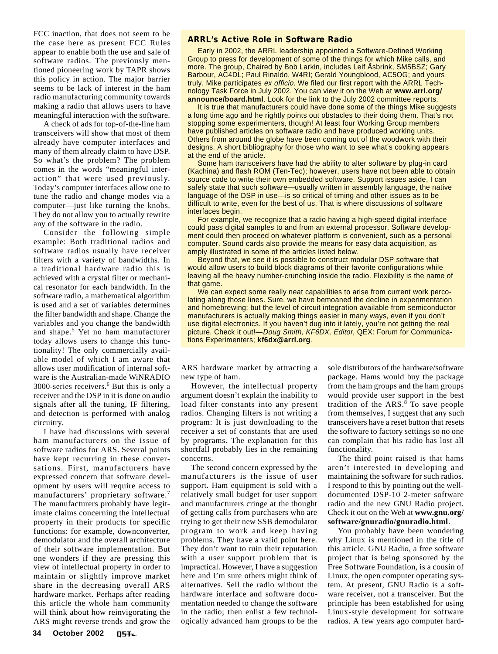FCC inaction, that does not seem to be the case here as present FCC Rules appear to enable both the use and sale of software radios. The previously mentioned pioneering work by TAPR shows this policy in action. The major barrier seems to be lack of interest in the ham radio manufacturing community towards making a radio that allows users to have meaningful interaction with the software.

A check of ads for top-of-the-line ham transceivers will show that most of them already have computer interfaces and many of them already claim to have DSP. So what's the problem? The problem comes in the words "meaningful interaction" that were used previously. Today's computer interfaces allow one to tune the radio and change modes via a computer—just like turning the knobs. They do not allow you to actually rewrite any of the software in the radio.

Consider the following simple example: Both traditional radios and software radios usually have receiver filters with a variety of bandwidths. In a traditional hardware radio this is achieved with a crystal filter or mechanical resonator for each bandwidth. In the software radio, a mathematical algorithm is used and a set of variables determines the filter bandwidth and shape. Change the variables and you change the bandwidth and shape.<sup>5</sup> Yet no ham manufacturer today allows users to change this functionality! The only commercially available model of which I am aware that allows user modification of internal software is the Australian-made WiNRADIO 3000-series receivers.<sup>6</sup> But this is only a receiver and the DSP in it is done on audio signals after all the tuning, IF filtering, and detection is performed with analog circuitry.

I have had discussions with several ham manufacturers on the issue of software radios for ARS. Several points have kept recurring in these conversations. First, manufacturers have expressed concern that software development by users will require access to manufacturers' proprietary software.<sup>7</sup> The manufacturers probably have legitimate claims concerning the intellectual property in their products for specific functions: for example, downconverter, demodulator and the overall architecture of their software implementation. But one wonders if they are pressing this view of intellectual property in order to maintain or slightly improve market share in the decreasing overall ARS hardware market. Perhaps after reading this article the whole ham community will think about how reinvigorating the ARS might reverse trends and grow the

# **ARRL's Active Role in Software Radio**

Early in 2002, the ARRL leadership appointed a Software-Defined Working Group to press for development of some of the things for which Mike calls, and more. The group, Chaired by Bob Larkin, includes Leif Åsbrink, SM5BSZ; Gary Barbour, AC4DL; Paul Rinaldo, W4RI; Gerald Youngblood, AC5OG; and yours truly. Mike participates ex officio. We filed our first report with the ARRL Technology Task Force in July 2002. You can view it on the Web at **www.arrl.org/ announce/board.html**. Look for the link to the July 2002 committee reports.

It is true that manufacturers could have done some of the things Mike suggests a long time ago and he rightly points out obstacles to their doing them. That's not stopping some experimenters, though! At least four Working Group members have published articles on software radio and have produced working units. Others from around the globe have been coming out of the woodwork with their designs. A short bibliography for those who want to see what's cooking appears at the end of the article.

Some ham transceivers have had the ability to alter software by plug-in card (Kachina) and flash ROM (Ten-Tec); however, users have not been able to obtain source code to write their own embedded software. Support issues aside, I can safely state that such software—usually written in assembly language, the native language of the DSP in use—is so critical of timing and other issues as to be difficult to write, even for the best of us. That is where discussions of software interfaces begin.

For example, we recognize that a radio having a high-speed digital interface could pass digital samples to and from an external processor. Software development could then proceed on whatever platform is convenient, such as a personal computer. Sound cards also provide the means for easy data acquisition, as amply illustrated in some of the articles listed below.

Beyond that, we see it is possible to construct modular DSP software that would allow users to build block diagrams of their favorite configurations while leaving all the heavy number-crunching inside the radio. Flexibility is the name of that game.

We can expect some really neat capabilities to arise from current work percolating along those lines. Sure, we have bemoaned the decline in experimentation and homebrewing; but the level of circuit integration available from semiconductor manufacturers is actually making things easier in many ways, even if you don't use digital electronics. If you haven't dug into it lately, you're not getting the real picture. Check it out!- Doug Smith, KF6DX, Editor, QEX: Forum for Communications Experimenters; **kf6dx@arrl.org**.

ARS hardware market by attracting a new type of ham.

However, the intellectual property argument doesn't explain the inability to load filter constants into any present radios. Changing filters is not writing a program: It is just downloading to the receiver a set of constants that are used by programs. The explanation for this shortfall probably lies in the remaining concerns.

The second concern expressed by the manufacturers is the issue of user support. Ham equipment is sold with a relatively small budget for user support and manufacturers cringe at the thought of getting calls from purchasers who are trying to get their new SSB demodulator program to work and keep having problems. They have a valid point here. They don't want to ruin their reputation with a user support problem that is impractical. However, I have a suggestion here and I'm sure others might think of alternatives. Sell the radio without the hardware interface and software documentation needed to change the software in the radio; then enlist a few technologically advanced ham groups to be the

sole distributors of the hardware/software package. Hams would buy the package from the ham groups and the ham groups would provide user support in the best tradition of the  $ARS$ .<sup>8</sup> To save people from themselves, I suggest that any such transceivers have a reset button that resets the software to factory settings so no one can complain that his radio has lost all functionality.

The third point raised is that hams aren't interested in developing and maintaining the software for such radios. I respond to this by pointing out the welldocumented DSP-10 2-meter software radio and the new GNU Radio project. Check it out on the Web at **www.gnu.org/ software/gnuradio/gnuradio.html**.

You probably have been wondering why Linux is mentioned in the title of this article. GNU Radio, a free software project that is being sponsored by the Free Software Foundation, is a cousin of Linux, the open computer operating system. At present, GNU Radio is a software receiver, not a transceiver. But the principle has been established for using Linux-style development for software radios. A few years ago computer hard